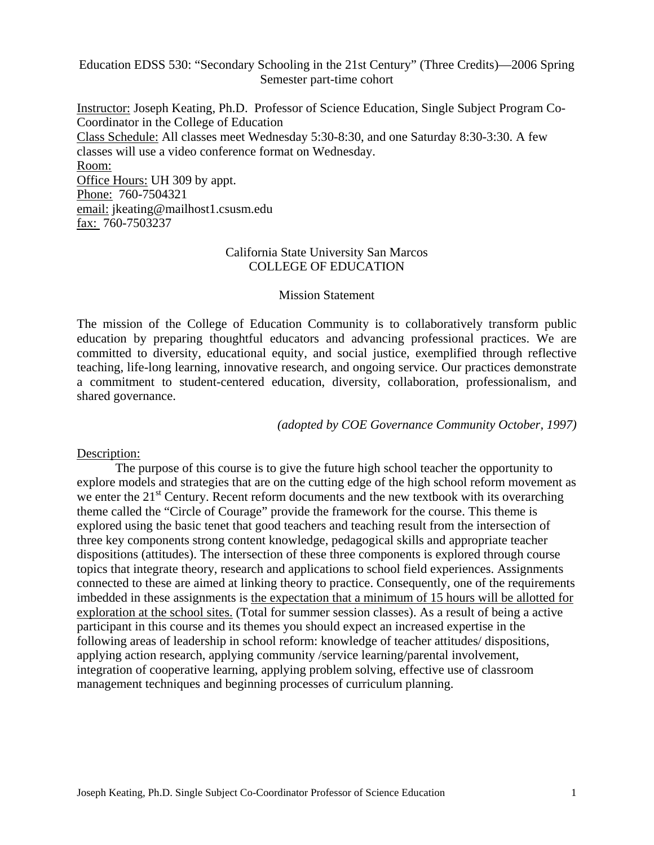#### Education EDSS 530: "Secondary Schooling in the 21st Century" (Three Credits)—2006 Spring Semester part-time cohort

Instructor: Joseph Keating, Ph.D. Professor of Science Education, Single Subject Program Co-Coordinator in the College of Education Class Schedule: All classes meet Wednesday 5:30-8:30, and one Saturday 8:30-3:30. A few classes will use a video conference format on Wednesday. Room: Office Hours: UH 309 by appt. Phone: 760-7504321 email: jkeating@mailhost1.csusm.edu fax: 760-7503237

#### California State University San Marcos COLLEGE OF EDUCATION

#### Mission Statement

The mission of the College of Education Community is to collaboratively transform public education by preparing thoughtful educators and advancing professional practices. We are committed to diversity, educational equity, and social justice, exemplified through reflective teaching, life-long learning, innovative research, and ongoing service. Our practices demonstrate a commitment to student-centered education, diversity, collaboration, professionalism, and shared governance.

*(adopted by COE Governance Community October, 1997)*

#### Description:

The purpose of this course is to give the future high school teacher the opportunity to explore models and strategies that are on the cutting edge of the high school reform movement as we enter the  $21<sup>st</sup>$  Century. Recent reform documents and the new textbook with its overarching theme called the "Circle of Courage" provide the framework for the course. This theme is explored using the basic tenet that good teachers and teaching result from the intersection of three key components strong content knowledge, pedagogical skills and appropriate teacher dispositions (attitudes). The intersection of these three components is explored through course topics that integrate theory, research and applications to school field experiences. Assignments connected to these are aimed at linking theory to practice. Consequently, one of the requirements imbedded in these assignments is the expectation that a minimum of 15 hours will be allotted for exploration at the school sites. (Total for summer session classes). As a result of being a active participant in this course and its themes you should expect an increased expertise in the following areas of leadership in school reform: knowledge of teacher attitudes/ dispositions, applying action research, applying community /service learning/parental involvement, integration of cooperative learning, applying problem solving, effective use of classroom management techniques and beginning processes of curriculum planning.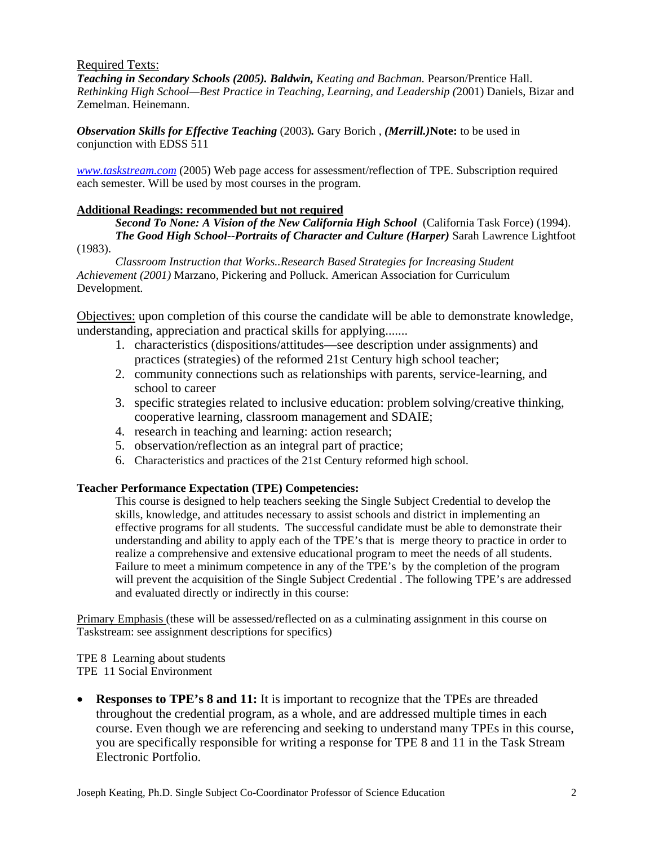#### Required Texts:

*Teaching in Secondary Schools (2005). Baldwin, Keating and Bachman.* Pearson/Prentice Hall. *Rethinking High School—Best Practice in Teaching, Learning, and Leadership (*2001) Daniels, Bizar and Zemelman. Heinemann.

*Observation Skills for Effective Teaching* (2003)*.* Gary Borich , *(Merrill.)***Note:** to be used in conjunction with EDSS 511

*www.taskstream.com* (2005) Web page access for assessment/reflection of TPE. Subscription required each semester. Will be used by most courses in the program.

#### **Additional Readings: recommended but not required**

*Second To None: A Vision of the New California High School* (California Task Force) (1994). *The Good High School--Portraits of Character and Culture (Harper)* Sarah Lawrence Lightfoot

(1983).

*Classroom Instruction that Works..Research Based Strategies for Increasing Student Achievement (2001)* Marzano, Pickering and Polluck. American Association for Curriculum Development.

Objectives: upon completion of this course the candidate will be able to demonstrate knowledge, understanding, appreciation and practical skills for applying.......

- 1. characteristics (dispositions/attitudes—see description under assignments) and practices (strategies) of the reformed 21st Century high school teacher;
- 2. community connections such as relationships with parents, service-learning, and school to career
- 3. specific strategies related to inclusive education: problem solving/creative thinking, cooperative learning, classroom management and SDAIE;
- 4. research in teaching and learning: action research;
- 5. observation/reflection as an integral part of practice;
- 6. Characteristics and practices of the 21st Century reformed high school.

#### **Teacher Performance Expectation (TPE) Competencies:**

This course is designed to help teachers seeking the Single Subject Credential to develop the skills, knowledge, and attitudes necessary to assist schools and district in implementing an effective programs for all students. The successful candidate must be able to demonstrate their understanding and ability to apply each of the TPE's that is merge theory to practice in order to realize a comprehensive and extensive educational program to meet the needs of all students. Failure to meet a minimum competence in any of the TPE's by the completion of the program will prevent the acquisition of the Single Subject Credential . The following TPE's are addressed and evaluated directly or indirectly in this course:

Primary Emphasis (these will be assessed/reflected on as a culminating assignment in this course on Taskstream: see assignment descriptions for specifics)

TPE 8 Learning about students TPE 11 Social Environment

• **Responses to TPE's 8 and 11:** It is important to recognize that the TPEs are threaded throughout the credential program, as a whole, and are addressed multiple times in each course. Even though we are referencing and seeking to understand many TPEs in this course, you are specifically responsible for writing a response for TPE 8 and 11 in the Task Stream Electronic Portfolio.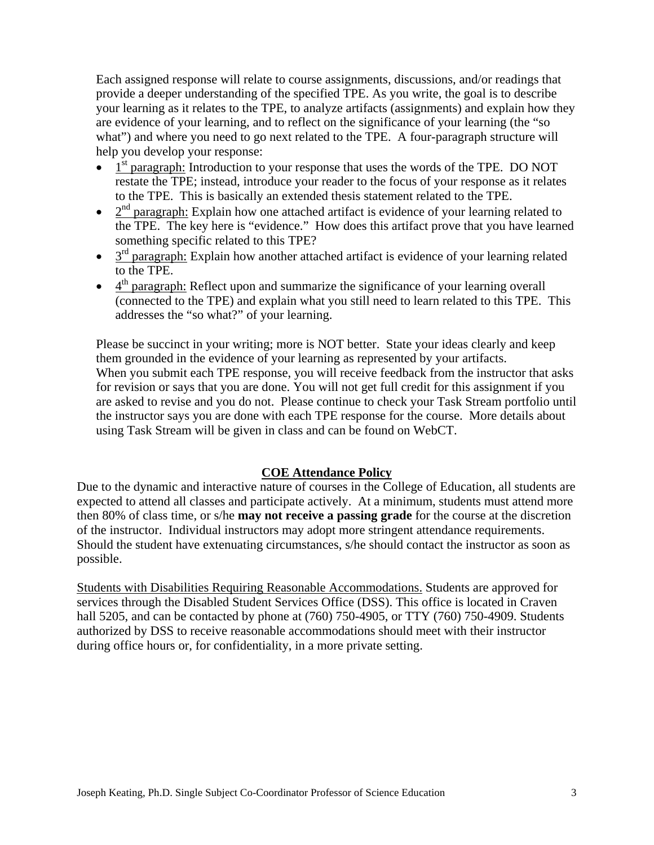Each assigned response will relate to course assignments, discussions, and/or readings that provide a deeper understanding of the specified TPE. As you write, the goal is to describe your learning as it relates to the TPE, to analyze artifacts (assignments) and explain how they are evidence of your learning, and to reflect on the significance of your learning (the "so what") and where you need to go next related to the TPE. A four-paragraph structure will help you develop your response:

- $\bullet$  1<sup>st</sup> paragraph: Introduction to your response that uses the words of the TPE. DO NOT restate the TPE; instead, introduce your reader to the focus of your response as it relates to the TPE. This is basically an extended thesis statement related to the TPE.
- $2<sup>nd</sup>$  paragraph: Explain how one attached artifact is evidence of your learning related to the TPE. The key here is "evidence." How does this artifact prove that you have learned something specific related to this TPE?
- $\bullet$  3<sup>rd</sup> paragraph: Explain how another attached artifact is evidence of your learning related to the TPE.
- $\bullet$  4<sup>th</sup> paragraph: Reflect upon and summarize the significance of your learning overall (connected to the TPE) and explain what you still need to learn related to this TPE. This addresses the "so what?" of your learning.

Please be succinct in your writing; more is NOT better. State your ideas clearly and keep them grounded in the evidence of your learning as represented by your artifacts. When you submit each TPE response, you will receive feedback from the instructor that asks for revision or says that you are done. You will not get full credit for this assignment if you are asked to revise and you do not. Please continue to check your Task Stream portfolio until the instructor says you are done with each TPE response for the course. More details about using Task Stream will be given in class and can be found on WebCT.

#### **COE Attendance Policy**

Due to the dynamic and interactive nature of courses in the College of Education, all students are expected to attend all classes and participate actively. At a minimum, students must attend more then 80% of class time, or s/he **may not receive a passing grade** for the course at the discretion of the instructor. Individual instructors may adopt more stringent attendance requirements. Should the student have extenuating circumstances, s/he should contact the instructor as soon as possible.

Students with Disabilities Requiring Reasonable Accommodations. Students are approved for services through the Disabled Student Services Office (DSS). This office is located in Craven hall 5205, and can be contacted by phone at (760) 750-4905, or TTY (760) 750-4909. Students authorized by DSS to receive reasonable accommodations should meet with their instructor during office hours or, for confidentiality, in a more private setting.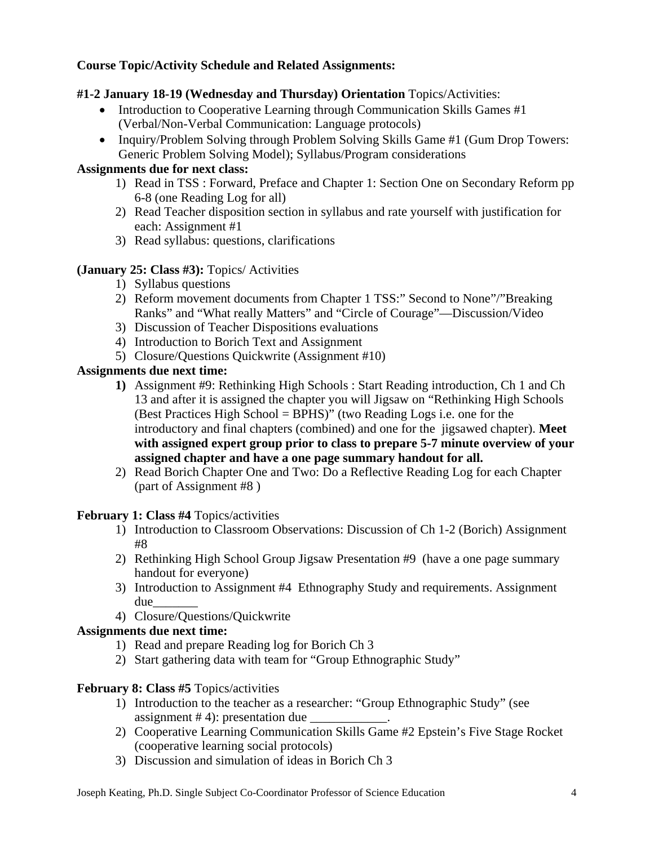### **Course Topic/Activity Schedule and Related Assignments:**

### **#1-2 January 18-19 (Wednesday and Thursday) Orientation** Topics/Activities:

- Introduction to Cooperative Learning through Communication Skills Games #1 (Verbal/Non-Verbal Communication: Language protocols)
- Inquiry/Problem Solving through Problem Solving Skills Game #1 (Gum Drop Towers: Generic Problem Solving Model); Syllabus/Program considerations

### **Assignments due for next class:**

- 1) Read in TSS : Forward, Preface and Chapter 1: Section One on Secondary Reform pp 6-8 (one Reading Log for all)
- 2) Read Teacher disposition section in syllabus and rate yourself with justification for each: Assignment #1
- 3) Read syllabus: questions, clarifications

#### **(January 25: Class #3):** Topics/ Activities

- 1) Syllabus questions
- 2) Reform movement documents from Chapter 1 TSS:" Second to None"/"Breaking Ranks" and "What really Matters" and "Circle of Courage"—Discussion/Video
- 3) Discussion of Teacher Dispositions evaluations
- 4) Introduction to Borich Text and Assignment
- 5) Closure/Questions Quickwrite (Assignment #10)

#### **Assignments due next time:**

- **1)** Assignment #9: Rethinking High Schools : Start Reading introduction, Ch 1 and Ch 13 and after it is assigned the chapter you will Jigsaw on "Rethinking High Schools (Best Practices High School = BPHS)" (two Reading Logs i.e. one for the introductory and final chapters (combined) and one for the jigsawed chapter). **Meet with assigned expert group prior to class to prepare 5-7 minute overview of your assigned chapter and have a one page summary handout for all.**
- 2) Read Borich Chapter One and Two: Do a Reflective Reading Log for each Chapter (part of Assignment #8 )

#### **February 1: Class #4** Topics/activities

- 1) Introduction to Classroom Observations: Discussion of Ch 1-2 (Borich) Assignment #8
- 2) Rethinking High School Group Jigsaw Presentation #9 (have a one page summary handout for everyone)
- 3) Introduction to Assignment #4 Ethnography Study and requirements. Assignment due\_\_\_\_\_\_\_
- 4) Closure/Questions/Quickwrite

#### **Assignments due next time:**

- 1) Read and prepare Reading log for Borich Ch 3
- 2) Start gathering data with team for "Group Ethnographic Study"

#### **February 8: Class #5** Topics/activities

- 1) Introduction to the teacher as a researcher: "Group Ethnographic Study" (see assignment  $# 4$ ): presentation due
- 2) Cooperative Learning Communication Skills Game #2 Epstein's Five Stage Rocket (cooperative learning social protocols)
- 3) Discussion and simulation of ideas in Borich Ch 3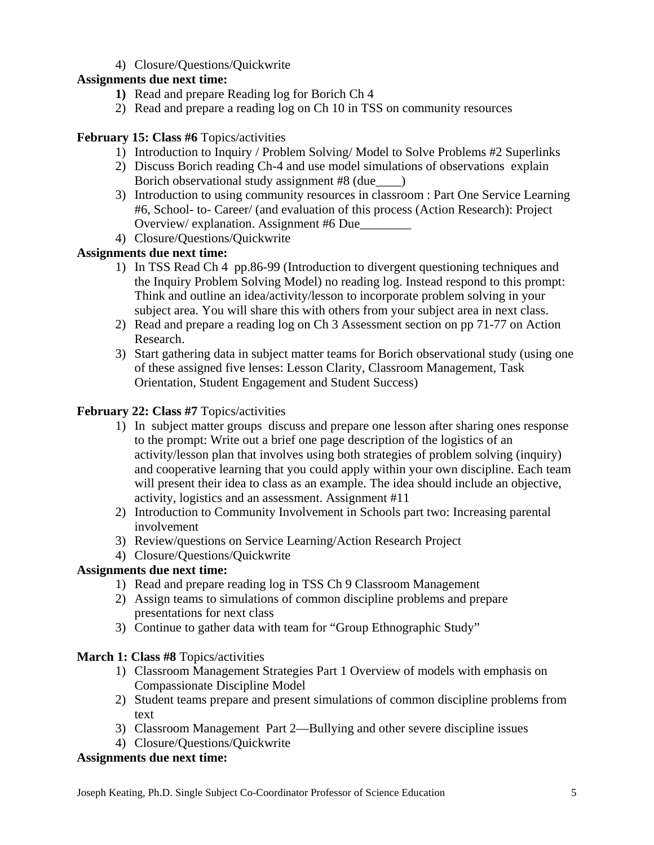# 4) Closure/Questions/Quickwrite

### **Assignments due next time:**

- **1)** Read and prepare Reading log for Borich Ch 4
- 2) Read and prepare a reading log on Ch 10 in TSS on community resources

### **February 15: Class #6** Topics/activities

- 1) Introduction to Inquiry / Problem Solving/ Model to Solve Problems #2 Superlinks
- 2) Discuss Borich reading Ch-4 and use model simulations of observations explain Borich observational study assignment #8 (due\_\_\_\_)
- 3) Introduction to using community resources in classroom : Part One Service Learning #6, School- to- Career/ (and evaluation of this process (Action Research): Project Overview/ explanation. Assignment #6 Due\_\_\_\_\_\_\_\_
- 4) Closure/Questions/Quickwrite

# **Assignments due next time:**

- 1) In TSS Read Ch 4 pp.86-99 (Introduction to divergent questioning techniques and the Inquiry Problem Solving Model) no reading log. Instead respond to this prompt: Think and outline an idea/activity/lesson to incorporate problem solving in your subject area. You will share this with others from your subject area in next class.
- 2) Read and prepare a reading log on Ch 3 Assessment section on pp 71-77 on Action Research.
- 3) Start gathering data in subject matter teams for Borich observational study (using one of these assigned five lenses: Lesson Clarity, Classroom Management, Task Orientation, Student Engagement and Student Success)

## **February 22: Class #7** Topics/activities

- 1) In subject matter groups discuss and prepare one lesson after sharing ones response to the prompt: Write out a brief one page description of the logistics of an activity/lesson plan that involves using both strategies of problem solving (inquiry) and cooperative learning that you could apply within your own discipline. Each team will present their idea to class as an example. The idea should include an objective, activity, logistics and an assessment. Assignment #11
- 2) Introduction to Community Involvement in Schools part two: Increasing parental involvement
- 3) Review/questions on Service Learning/Action Research Project
- 4) Closure/Questions/Quickwrite

### **Assignments due next time:**

- 1) Read and prepare reading log in TSS Ch 9 Classroom Management
- 2) Assign teams to simulations of common discipline problems and prepare presentations for next class
- 3) Continue to gather data with team for "Group Ethnographic Study"

### **March 1: Class #8** Topics/activities

- 1) Classroom Management Strategies Part 1 Overview of models with emphasis on Compassionate Discipline Model
- 2) Student teams prepare and present simulations of common discipline problems from text
- 3) Classroom Management Part 2—Bullying and other severe discipline issues
- 4) Closure/Questions/Quickwrite

### **Assignments due next time:**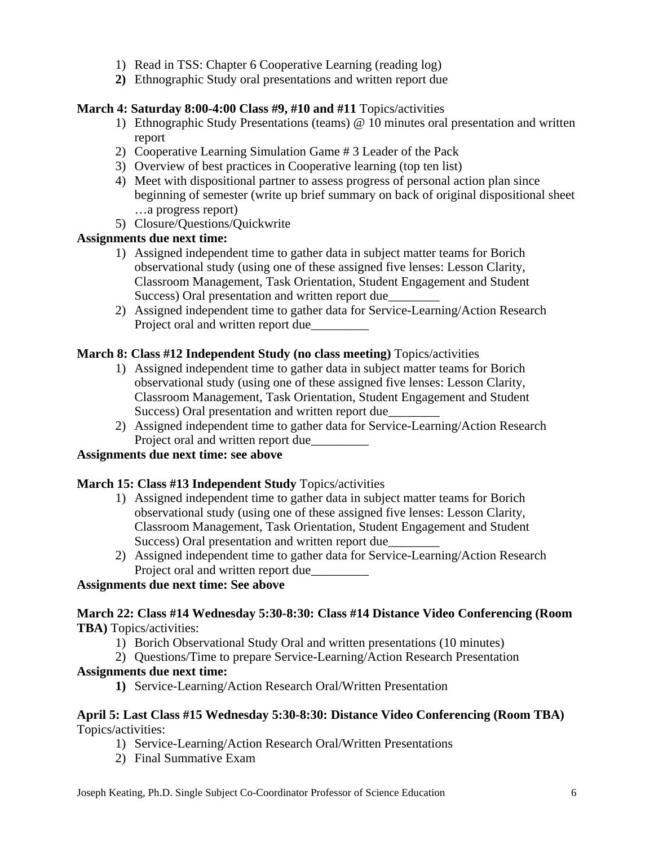- 1) Read in TSS: Chapter 6 Cooperative Learning (reading log)
- **2)** Ethnographic Study oral presentations and written report due

### **March 4: Saturday 8:00-4:00 Class #9, #10 and #11** Topics/activities

- 1) Ethnographic Study Presentations (teams) @ 10 minutes oral presentation and written report
- 2) Cooperative Learning Simulation Game # 3 Leader of the Pack
- 3) Overview of best practices in Cooperative learning (top ten list)
- 4) Meet with dispositional partner to assess progress of personal action plan since beginning of semester (write up brief summary on back of original dispositional sheet …a progress report)
- 5) Closure/Questions/Quickwrite

## **Assignments due next time:**

- 1) Assigned independent time to gather data in subject matter teams for Borich observational study (using one of these assigned five lenses: Lesson Clarity, Classroom Management, Task Orientation, Student Engagement and Student Success) Oral presentation and written report due
- 2) Assigned independent time to gather data for Service-Learning/Action Research Project oral and written report due

### **March 8: Class #12 Independent Study (no class meeting)** Topics/activities

- 1) Assigned independent time to gather data in subject matter teams for Borich observational study (using one of these assigned five lenses: Lesson Clarity, Classroom Management, Task Orientation, Student Engagement and Student Success) Oral presentation and written report due
- 2) Assigned independent time to gather data for Service-Learning/Action Research Project oral and written report due

## **Assignments due next time: see above**

### **March 15: Class #13 Independent Study** Topics/activities

- 1) Assigned independent time to gather data in subject matter teams for Borich observational study (using one of these assigned five lenses: Lesson Clarity, Classroom Management, Task Orientation, Student Engagement and Student Success) Oral presentation and written report due
- 2) Assigned independent time to gather data for Service-Learning/Action Research Project oral and written report due\_\_\_\_\_\_\_\_\_

### **Assignments due next time: See above**

#### **March 22: Class #14 Wednesday 5:30-8:30: Class #14 Distance Video Conferencing (Room TBA)** Topics/activities:

- 1) Borich Observational Study Oral and written presentations (10 minutes)
- 2) Questions/Time to prepare Service-Learning/Action Research Presentation

### **Assignments due next time:**

**1)** Service-Learning/Action Research Oral/Written Presentation

#### **April 5: Last Class #15 Wednesday 5:30-8:30: Distance Video Conferencing (Room TBA)**  Topics/activities:

- 1) Service-Learning/Action Research Oral/Written Presentations
- 2) Final Summative Exam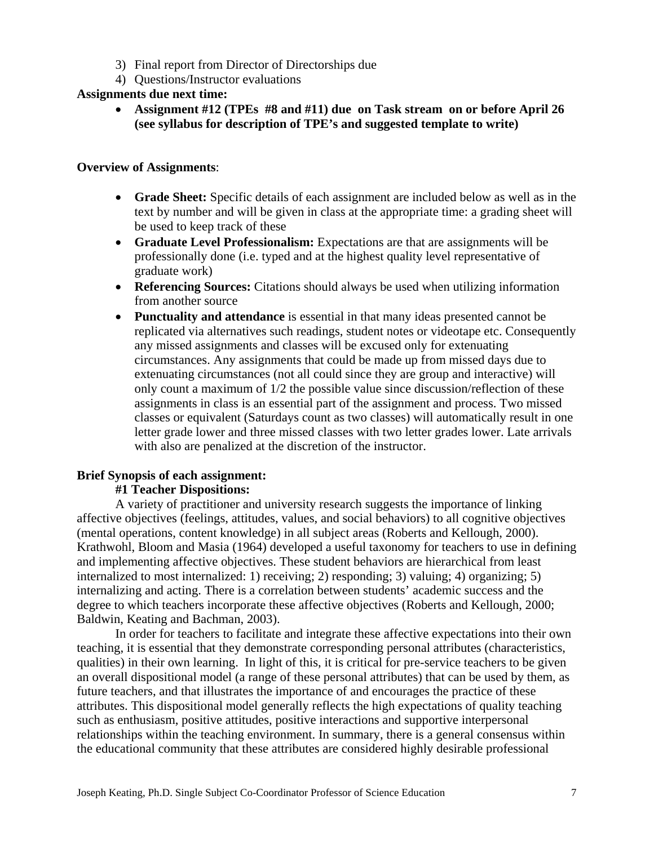- 3) Final report from Director of Directorships due
- 4) Questions/Instructor evaluations

#### **Assignments due next time:**

• **Assignment #12 (TPEs #8 and #11) due on Task stream on or before April 26 (see syllabus for description of TPE's and suggested template to write)** 

#### **Overview of Assignments**:

- **Grade Sheet:** Specific details of each assignment are included below as well as in the text by number and will be given in class at the appropriate time: a grading sheet will be used to keep track of these
- **Graduate Level Professionalism:** Expectations are that are assignments will be professionally done (i.e. typed and at the highest quality level representative of graduate work)
- **Referencing Sources:** Citations should always be used when utilizing information from another source
- **Punctuality and attendance** is essential in that many ideas presented cannot be replicated via alternatives such readings, student notes or videotape etc. Consequently any missed assignments and classes will be excused only for extenuating circumstances. Any assignments that could be made up from missed days due to extenuating circumstances (not all could since they are group and interactive) will only count a maximum of 1/2 the possible value since discussion/reflection of these assignments in class is an essential part of the assignment and process. Two missed classes or equivalent (Saturdays count as two classes) will automatically result in one letter grade lower and three missed classes with two letter grades lower. Late arrivals with also are penalized at the discretion of the instructor.

#### **Brief Synopsis of each assignment:**

#### **#1 Teacher Dispositions:**

A variety of practitioner and university research suggests the importance of linking affective objectives (feelings, attitudes, values, and social behaviors) to all cognitive objectives (mental operations, content knowledge) in all subject areas (Roberts and Kellough, 2000). Krathwohl, Bloom and Masia (1964) developed a useful taxonomy for teachers to use in defining and implementing affective objectives. These student behaviors are hierarchical from least internalized to most internalized: 1) receiving; 2) responding; 3) valuing; 4) organizing; 5) internalizing and acting. There is a correlation between students' academic success and the degree to which teachers incorporate these affective objectives (Roberts and Kellough, 2000; Baldwin, Keating and Bachman, 2003).

In order for teachers to facilitate and integrate these affective expectations into their own teaching, it is essential that they demonstrate corresponding personal attributes (characteristics, qualities) in their own learning. In light of this, it is critical for pre-service teachers to be given an overall dispositional model (a range of these personal attributes) that can be used by them, as future teachers, and that illustrates the importance of and encourages the practice of these attributes. This dispositional model generally reflects the high expectations of quality teaching such as enthusiasm, positive attitudes, positive interactions and supportive interpersonal relationships within the teaching environment. In summary, there is a general consensus within the educational community that these attributes are considered highly desirable professional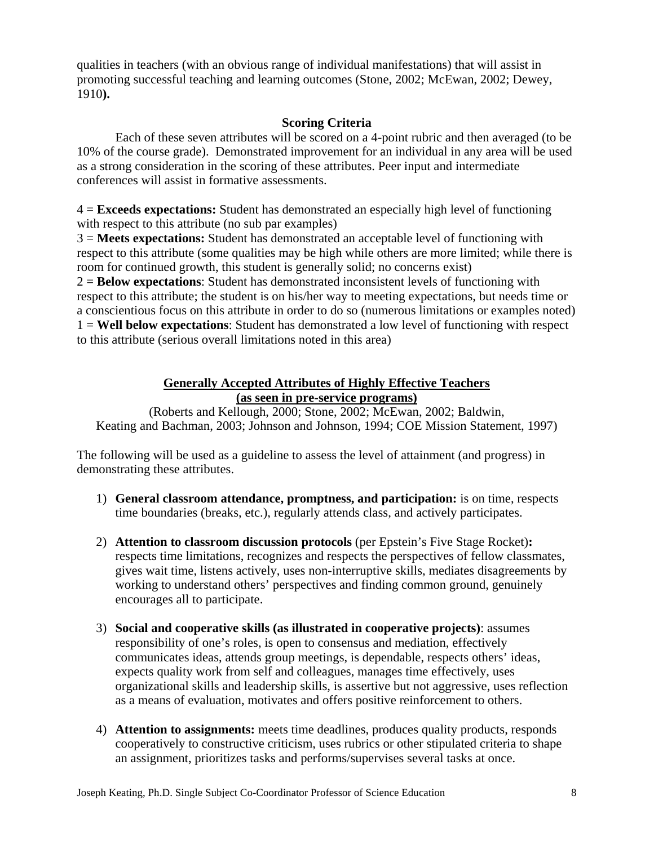qualities in teachers (with an obvious range of individual manifestations) that will assist in promoting successful teaching and learning outcomes (Stone, 2002; McEwan, 2002; Dewey, 1910**).** 

### **Scoring Criteria**

Each of these seven attributes will be scored on a 4-point rubric and then averaged (to be 10% of the course grade). Demonstrated improvement for an individual in any area will be used as a strong consideration in the scoring of these attributes. Peer input and intermediate conferences will assist in formative assessments.

4 = **Exceeds expectations:** Student has demonstrated an especially high level of functioning with respect to this attribute (no sub par examples)

3 = **Meets expectations:** Student has demonstrated an acceptable level of functioning with respect to this attribute (some qualities may be high while others are more limited; while there is room for continued growth, this student is generally solid; no concerns exist)

2 = **Below expectations**: Student has demonstrated inconsistent levels of functioning with respect to this attribute; the student is on his/her way to meeting expectations, but needs time or a conscientious focus on this attribute in order to do so (numerous limitations or examples noted) 1 = **Well below expectations**: Student has demonstrated a low level of functioning with respect to this attribute (serious overall limitations noted in this area)

#### **Generally Accepted Attributes of Highly Effective Teachers (as seen in pre-service programs)**

(Roberts and Kellough, 2000; Stone, 2002; McEwan, 2002; Baldwin, Keating and Bachman, 2003; Johnson and Johnson, 1994; COE Mission Statement, 1997)

The following will be used as a guideline to assess the level of attainment (and progress) in demonstrating these attributes.

- 1) **General classroom attendance, promptness, and participation:** is on time, respects time boundaries (breaks, etc.), regularly attends class, and actively participates.
- 2) **Attention to classroom discussion protocols** (per Epstein's Five Stage Rocket)**:** respects time limitations, recognizes and respects the perspectives of fellow classmates, gives wait time, listens actively, uses non-interruptive skills, mediates disagreements by working to understand others' perspectives and finding common ground, genuinely encourages all to participate.
- 3) **Social and cooperative skills (as illustrated in cooperative projects)**: assumes responsibility of one's roles, is open to consensus and mediation, effectively communicates ideas, attends group meetings, is dependable, respects others' ideas, expects quality work from self and colleagues, manages time effectively, uses organizational skills and leadership skills, is assertive but not aggressive, uses reflection as a means of evaluation, motivates and offers positive reinforcement to others.
- 4) **Attention to assignments:** meets time deadlines, produces quality products, responds cooperatively to constructive criticism, uses rubrics or other stipulated criteria to shape an assignment, prioritizes tasks and performs/supervises several tasks at once.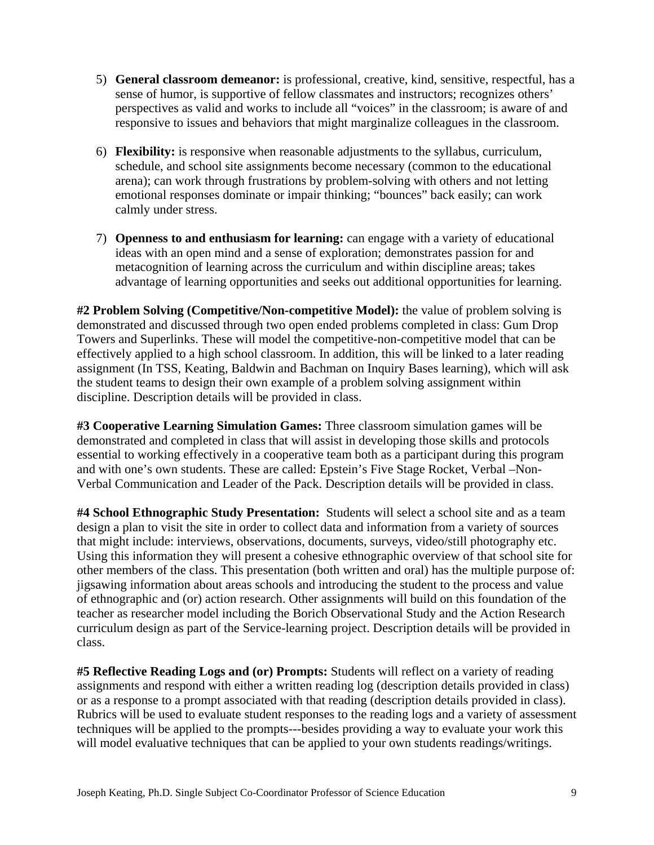- 5) **General classroom demeanor:** is professional, creative, kind, sensitive, respectful, has a sense of humor, is supportive of fellow classmates and instructors; recognizes others' perspectives as valid and works to include all "voices" in the classroom; is aware of and responsive to issues and behaviors that might marginalize colleagues in the classroom.
- 6) **Flexibility:** is responsive when reasonable adjustments to the syllabus, curriculum, schedule, and school site assignments become necessary (common to the educational arena); can work through frustrations by problem-solving with others and not letting emotional responses dominate or impair thinking; "bounces" back easily; can work calmly under stress.
- 7) **Openness to and enthusiasm for learning:** can engage with a variety of educational ideas with an open mind and a sense of exploration; demonstrates passion for and metacognition of learning across the curriculum and within discipline areas; takes advantage of learning opportunities and seeks out additional opportunities for learning.

**#2 Problem Solving (Competitive/Non-competitive Model):** the value of problem solving is demonstrated and discussed through two open ended problems completed in class: Gum Drop Towers and Superlinks. These will model the competitive-non-competitive model that can be effectively applied to a high school classroom. In addition, this will be linked to a later reading assignment (In TSS, Keating, Baldwin and Bachman on Inquiry Bases learning), which will ask the student teams to design their own example of a problem solving assignment within discipline. Description details will be provided in class.

**#3 Cooperative Learning Simulation Games:** Three classroom simulation games will be demonstrated and completed in class that will assist in developing those skills and protocols essential to working effectively in a cooperative team both as a participant during this program and with one's own students. These are called: Epstein's Five Stage Rocket, Verbal –Non-Verbal Communication and Leader of the Pack. Description details will be provided in class.

**#4 School Ethnographic Study Presentation:** Students will select a school site and as a team design a plan to visit the site in order to collect data and information from a variety of sources that might include: interviews, observations, documents, surveys, video/still photography etc. Using this information they will present a cohesive ethnographic overview of that school site for other members of the class. This presentation (both written and oral) has the multiple purpose of: jigsawing information about areas schools and introducing the student to the process and value of ethnographic and (or) action research. Other assignments will build on this foundation of the teacher as researcher model including the Borich Observational Study and the Action Research curriculum design as part of the Service-learning project. Description details will be provided in class.

**#5 Reflective Reading Logs and (or) Prompts:** Students will reflect on a variety of reading assignments and respond with either a written reading log (description details provided in class) or as a response to a prompt associated with that reading (description details provided in class). Rubrics will be used to evaluate student responses to the reading logs and a variety of assessment techniques will be applied to the prompts---besides providing a way to evaluate your work this will model evaluative techniques that can be applied to your own students readings/writings.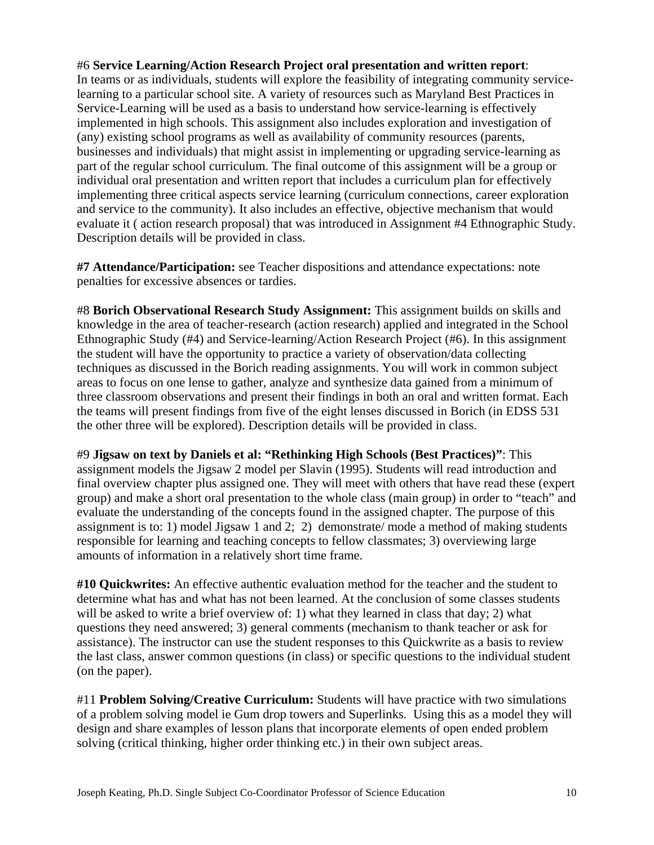#### #6 **Service Learning/Action Research Project oral presentation and written report**:

In teams or as individuals, students will explore the feasibility of integrating community servicelearning to a particular school site. A variety of resources such as Maryland Best Practices in Service-Learning will be used as a basis to understand how service-learning is effectively implemented in high schools. This assignment also includes exploration and investigation of (any) existing school programs as well as availability of community resources (parents, businesses and individuals) that might assist in implementing or upgrading service-learning as part of the regular school curriculum. The final outcome of this assignment will be a group or individual oral presentation and written report that includes a curriculum plan for effectively implementing three critical aspects service learning (curriculum connections, career exploration and service to the community). It also includes an effective, objective mechanism that would evaluate it ( action research proposal) that was introduced in Assignment #4 Ethnographic Study. Description details will be provided in class.

**#7 Attendance/Participation:** see Teacher dispositions and attendance expectations: note penalties for excessive absences or tardies.

#8 **Borich Observational Research Study Assignment:** This assignment builds on skills and knowledge in the area of teacher-research (action research) applied and integrated in the School Ethnographic Study (#4) and Service-learning/Action Research Project (#6). In this assignment the student will have the opportunity to practice a variety of observation/data collecting techniques as discussed in the Borich reading assignments. You will work in common subject areas to focus on one lense to gather, analyze and synthesize data gained from a minimum of three classroom observations and present their findings in both an oral and written format. Each the teams will present findings from five of the eight lenses discussed in Borich (in EDSS 531 the other three will be explored). Description details will be provided in class.

#9 **Jigsaw on text by Daniels et al: "Rethinking High Schools (Best Practices)"**: This assignment models the Jigsaw 2 model per Slavin (1995). Students will read introduction and final overview chapter plus assigned one. They will meet with others that have read these (expert group) and make a short oral presentation to the whole class (main group) in order to "teach" and evaluate the understanding of the concepts found in the assigned chapter. The purpose of this assignment is to: 1) model Jigsaw 1 and 2; 2) demonstrate/ mode a method of making students responsible for learning and teaching concepts to fellow classmates; 3) overviewing large amounts of information in a relatively short time frame.

**#10 Quickwrites:** An effective authentic evaluation method for the teacher and the student to determine what has and what has not been learned. At the conclusion of some classes students will be asked to write a brief overview of: 1) what they learned in class that day; 2) what questions they need answered; 3) general comments (mechanism to thank teacher or ask for assistance). The instructor can use the student responses to this Quickwrite as a basis to review the last class, answer common questions (in class) or specific questions to the individual student (on the paper).

#11 **Problem Solving/Creative Curriculum:** Students will have practice with two simulations of a problem solving model ie Gum drop towers and Superlinks. Using this as a model they will design and share examples of lesson plans that incorporate elements of open ended problem solving (critical thinking, higher order thinking etc.) in their own subject areas.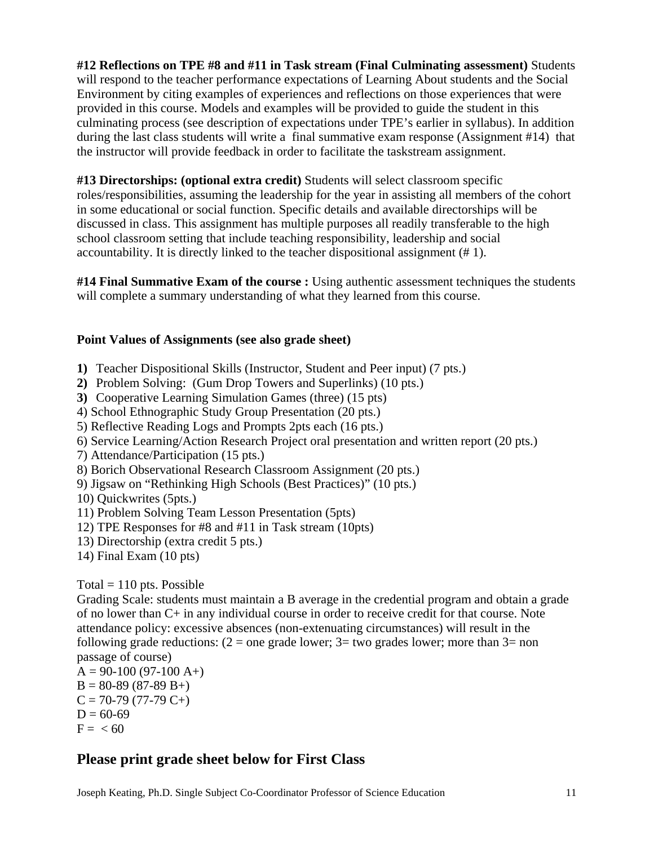**#12 Reflections on TPE #8 and #11 in Task stream (Final Culminating assessment)** Students will respond to the teacher performance expectations of Learning About students and the Social Environment by citing examples of experiences and reflections on those experiences that were provided in this course. Models and examples will be provided to guide the student in this culminating process (see description of expectations under TPE's earlier in syllabus). In addition during the last class students will write a final summative exam response (Assignment #14) that the instructor will provide feedback in order to facilitate the taskstream assignment.

# **#13 Directorships: (optional extra credit)** Students will select classroom specific

roles/responsibilities, assuming the leadership for the year in assisting all members of the cohort in some educational or social function. Specific details and available directorships will be discussed in class. This assignment has multiple purposes all readily transferable to the high school classroom setting that include teaching responsibility, leadership and social accountability. It is directly linked to the teacher dispositional assignment (# 1).

**#14 Final Summative Exam of the course :** Using authentic assessment techniques the students will complete a summary understanding of what they learned from this course.

#### **Point Values of Assignments (see also grade sheet)**

- **1)** Teacher Dispositional Skills (Instructor, Student and Peer input) (7 pts.)
- **2)** Problem Solving: (Gum Drop Towers and Superlinks) (10 pts.)
- **3)** Cooperative Learning Simulation Games (three) (15 pts)
- 4) School Ethnographic Study Group Presentation (20 pts.)
- 5) Reflective Reading Logs and Prompts 2pts each (16 pts.)
- 6) Service Learning/Action Research Project oral presentation and written report (20 pts.)
- 7) Attendance/Participation (15 pts.)
- 8) Borich Observational Research Classroom Assignment (20 pts.)
- 9) Jigsaw on "Rethinking High Schools (Best Practices)" (10 pts.)
- 10) Quickwrites (5pts.)
- 11) Problem Solving Team Lesson Presentation (5pts)
- 12) TPE Responses for #8 and #11 in Task stream (10pts)
- 13) Directorship (extra credit 5 pts.)
- 14) Final Exam (10 pts)

### Total  $= 110$  pts. Possible

Grading Scale: students must maintain a B average in the credential program and obtain a grade of no lower than C+ in any individual course in order to receive credit for that course. Note attendance policy: excessive absences (non-extenuating circumstances) will result in the following grade reductions:  $(2 =$  one grade lower;  $3 =$  two grades lower; more than  $3=$  non passage of course)

 $A = 90-100 (97-100 A+)$  $B = 80-89(87-89 B+ )$  $C = 70-79(77-79 C+)$  $D = 60-69$  $F = < 60$ 

# **Please print grade sheet below for First Class**